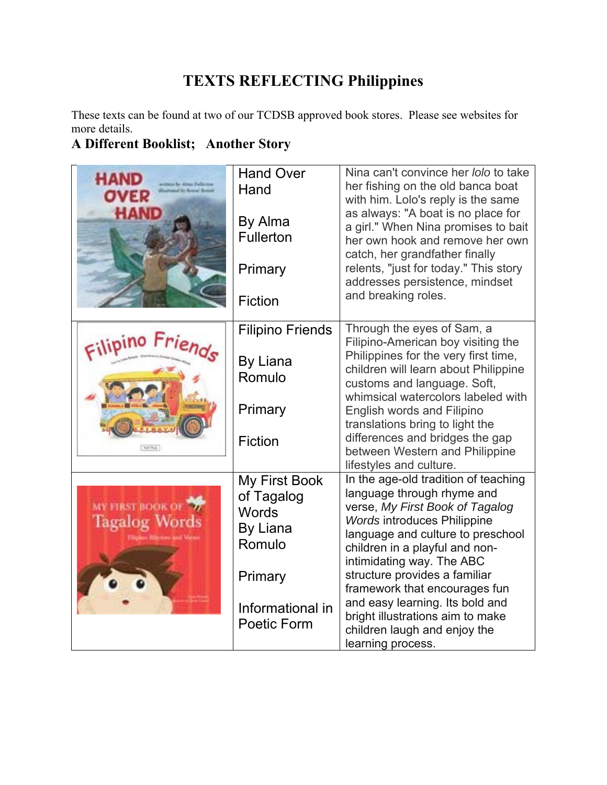## **TEXTS REFLECTING Philippines**

These texts can be found at two of our TCDSB approved book stores. Please see websites for more details.

## **A Different Booklist; Another Story**

| HAND                                                                            | <b>Hand Over</b><br>Hand<br>By Alma<br><b>Fullerton</b><br>Primary<br>Fiction                                   | Nina can't convince her lolo to take<br>her fishing on the old banca boat<br>with him. Lolo's reply is the same<br>as always: "A boat is no place for<br>a girl." When Nina promises to bait<br>her own hook and remove her own<br>catch, her grandfather finally<br>relents, "just for today." This story<br>addresses persistence, mindset<br>and breaking roles.                                                                           |
|---------------------------------------------------------------------------------|-----------------------------------------------------------------------------------------------------------------|-----------------------------------------------------------------------------------------------------------------------------------------------------------------------------------------------------------------------------------------------------------------------------------------------------------------------------------------------------------------------------------------------------------------------------------------------|
| THEFILE                                                                         | <b>Filipino Friends</b><br><b>By Liana</b><br>Romulo<br>Primary<br><b>Fiction</b>                               | Through the eyes of Sam, a<br>Filipino-American boy visiting the<br>Philippines for the very first time,<br>children will learn about Philippine<br>customs and language. Soft,<br>whimsical watercolors labeled with<br>English words and Filipino<br>translations bring to light the<br>differences and bridges the gap<br>between Western and Philippine<br>lifestyles and culture.                                                        |
| <b>MY FIRST BOOK OF 3</b><br><b>Tagalog Words</b><br>Filipine Rieters and Vermy | <b>My First Book</b><br>of Tagalog<br>Words<br>By Liana<br>Romulo<br>Primary<br>Informational in<br>Poetic Form | In the age-old tradition of teaching<br>language through rhyme and<br>verse, My First Book of Tagalog<br><b>Words introduces Philippine</b><br>language and culture to preschool<br>children in a playful and non-<br>intimidating way. The ABC<br>structure provides a familiar<br>framework that encourages fun<br>and easy learning. Its bold and<br>bright illustrations aim to make<br>children laugh and enjoy the<br>learning process. |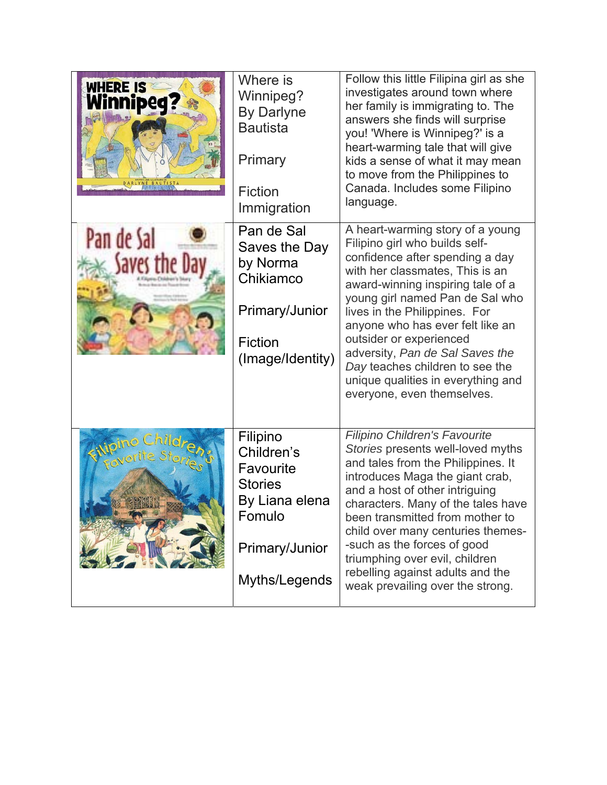| WHERE IS<br>Winnipeq | Where is<br>Winnipeg?<br><b>By Darlyne</b><br><b>Bautista</b><br>Primary<br><b>Fiction</b><br>Immigration            | Follow this little Filipina girl as she<br>investigates around town where<br>her family is immigrating to. The<br>answers she finds will surprise<br>you! 'Where is Winnipeg?' is a<br>heart-warming tale that will give<br>kids a sense of what it may mean<br>to move from the Philippines to<br>Canada. Includes some Filipino<br>language.                                                                                                             |
|----------------------|----------------------------------------------------------------------------------------------------------------------|------------------------------------------------------------------------------------------------------------------------------------------------------------------------------------------------------------------------------------------------------------------------------------------------------------------------------------------------------------------------------------------------------------------------------------------------------------|
| Pan de Sal           | Pan de Sal<br>Saves the Day<br>by Norma<br>Chikiamco<br>Primary/Junior<br>Fiction<br>(Image/Identity)                | A heart-warming story of a young<br>Filipino girl who builds self-<br>confidence after spending a day<br>with her classmates, This is an<br>award-winning inspiring tale of a<br>young girl named Pan de Sal who<br>lives in the Philippines. For<br>anyone who has ever felt like an<br>outsider or experienced<br>adversity, Pan de Sal Saves the<br>Day teaches children to see the<br>unique qualities in everything and<br>everyone, even themselves. |
| Ward Ch              | Filipino<br>Children's<br>Favourite<br><b>Stories</b><br>By Liana elena<br>Fomulo<br>Primary/Junior<br>Myths/Legends | Filipino Children's Favourite<br>Stories presents well-loved myths<br>and tales from the Philippines. It<br>introduces Maga the giant crab,<br>and a host of other intriguing<br>characters. Many of the tales have<br>been transmitted from mother to<br>child over many centuries themes-<br>-such as the forces of good<br>triumphing over evil, children<br>rebelling against adults and the<br>weak prevailing over the strong.                       |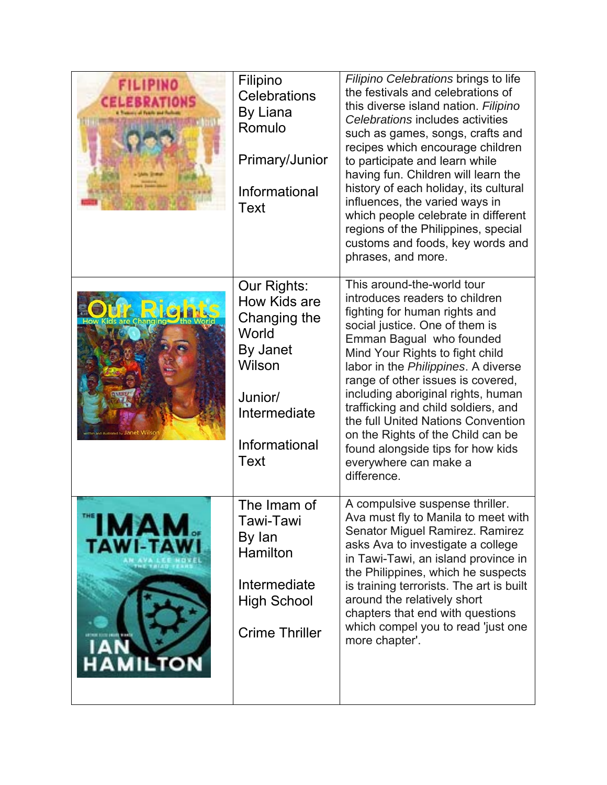| <b>FILIPINO</b><br><b>CELEBRATIONS</b> | Filipino<br><b>Celebrations</b><br>By Liana<br>Romulo<br><b>Primary/Junior</b><br>Informational<br>Text                                      | Filipino Celebrations brings to life<br>the festivals and celebrations of<br>this diverse island nation. Filipino<br>Celebrations includes activities<br>such as games, songs, crafts and<br>recipes which encourage children<br>to participate and learn while<br>having fun. Children will learn the<br>history of each holiday, its cultural<br>influences, the varied ways in<br>which people celebrate in different<br>regions of the Philippines, special<br>customs and foods, key words and<br>phrases, and more. |
|----------------------------------------|----------------------------------------------------------------------------------------------------------------------------------------------|---------------------------------------------------------------------------------------------------------------------------------------------------------------------------------------------------------------------------------------------------------------------------------------------------------------------------------------------------------------------------------------------------------------------------------------------------------------------------------------------------------------------------|
|                                        | Our Rights:<br><b>How Kids are</b><br>Changing the<br>World<br>By Janet<br>Wilson<br>Junior/<br>Intermediate<br>Informational<br><b>Text</b> | This around-the-world tour<br>introduces readers to children<br>fighting for human rights and<br>social justice. One of them is<br>Emman Bagual who founded<br>Mind Your Rights to fight child<br>labor in the Philippines. A diverse<br>range of other issues is covered,<br>including aboriginal rights, human<br>trafficking and child soldiers, and<br>the full United Nations Convention<br>on the Rights of the Child can be<br>found alongside tips for how kids<br>everywhere can make a<br>difference.           |
| Д<br>TAWI-TA<br><b>HAMILTON</b>        | The Imam of<br>Tawi-Tawi<br>By lan<br>Hamilton<br>Intermediate<br><b>High School</b><br><b>Crime Thriller</b>                                | A compulsive suspense thriller.<br>Ava must fly to Manila to meet with<br>Senator Miguel Ramirez. Ramirez<br>asks Ava to investigate a college<br>in Tawi-Tawi, an island province in<br>the Philippines, which he suspects<br>is training terrorists. The art is built<br>around the relatively short<br>chapters that end with questions<br>which compel you to read 'just one<br>more chapter'.                                                                                                                        |